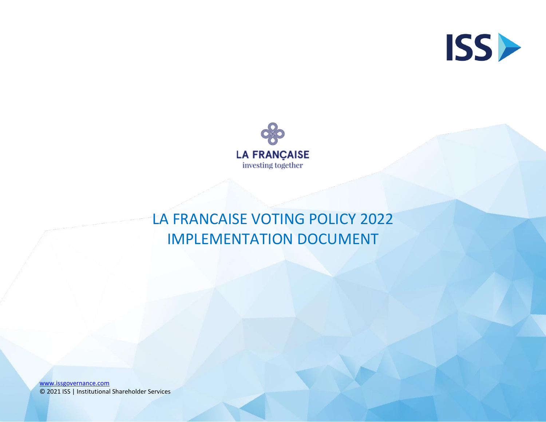



## LA FRANCAISE VOTING POLICY 2022 IMPLEMENTATION DOCUMENT

[www.issgovernance.com](http://www.issgovernance.com/) © 2021 ISS | Institutional Shareholder Services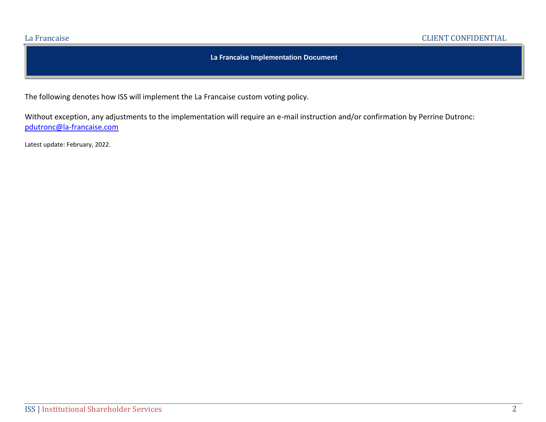## **La Francaise Implementation Document**

The following denotes how ISS will implement the La Francaise custom voting policy.

Without exception, any adjustments to the implementation will require an e-mail instruction and/or confirmation by Perrine Dutronc: [pdutronc@la-francaise.com](mailto:pdutronc@la-francaise.com)

Latest update: February, 2022.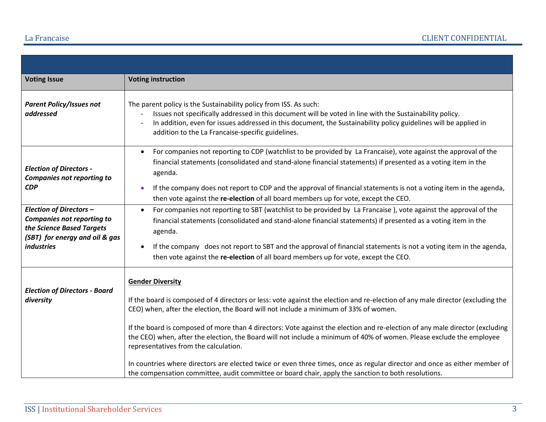| <b>Voting Issue</b>                                                                                                                                     | <b>Voting instruction</b>                                                                                                                                                                                                                                                                                                                                                                                                                                                                                                                          |
|---------------------------------------------------------------------------------------------------------------------------------------------------------|----------------------------------------------------------------------------------------------------------------------------------------------------------------------------------------------------------------------------------------------------------------------------------------------------------------------------------------------------------------------------------------------------------------------------------------------------------------------------------------------------------------------------------------------------|
| <b>Parent Policy/Issues not</b><br>addressed                                                                                                            | The parent policy is the Sustainability policy from ISS. As such:<br>Issues not specifically addressed in this document will be voted in line with the Sustainability policy.<br>In addition, even for issues addressed in this document, the Sustainability policy guidelines will be applied in<br>addition to the La Francaise-specific guidelines.                                                                                                                                                                                             |
| <b>Election of Directors -</b><br><b>Companies not reporting to</b><br><b>CDP</b>                                                                       | For companies not reporting to CDP (watchlist to be provided by La Francaise), vote against the approval of the<br>$\bullet$<br>financial statements (consolidated and stand-alone financial statements) if presented as a voting item in the<br>agenda.                                                                                                                                                                                                                                                                                           |
|                                                                                                                                                         | If the company does not report to CDP and the approval of financial statements is not a voting item in the agenda,<br>$\bullet$<br>then vote against the re-election of all board members up for vote, except the CEO.                                                                                                                                                                                                                                                                                                                             |
| <b>Election of Directors -</b><br><b>Companies not reporting to</b><br>the Science Based Targets<br>(SBT) for energy and oil & gas<br><i>industries</i> | For companies not reporting to SBT (watchlist to be provided by La Francaise), vote against the approval of the<br>$\bullet$<br>financial statements (consolidated and stand-alone financial statements) if presented as a voting item in the<br>agenda.                                                                                                                                                                                                                                                                                           |
|                                                                                                                                                         | If the company does not report to SBT and the approval of financial statements is not a voting item in the agenda,<br>$\bullet$<br>then vote against the re-election of all board members up for vote, except the CEO.                                                                                                                                                                                                                                                                                                                             |
| <b>Election of Directors - Board</b><br>diversity                                                                                                       | <b>Gender Diversity</b><br>If the board is composed of 4 directors or less: vote against the election and re-election of any male director (excluding the<br>CEO) when, after the election, the Board will not include a minimum of 33% of women.<br>If the board is composed of more than 4 directors: Vote against the election and re-election of any male director (excluding<br>the CEO) when, after the election, the Board will not include a minimum of 40% of women. Please exclude the employee<br>representatives from the calculation. |
|                                                                                                                                                         | In countries where directors are elected twice or even three times, once as regular director and once as either member of<br>the compensation committee, audit committee or board chair, apply the sanction to both resolutions.                                                                                                                                                                                                                                                                                                                   |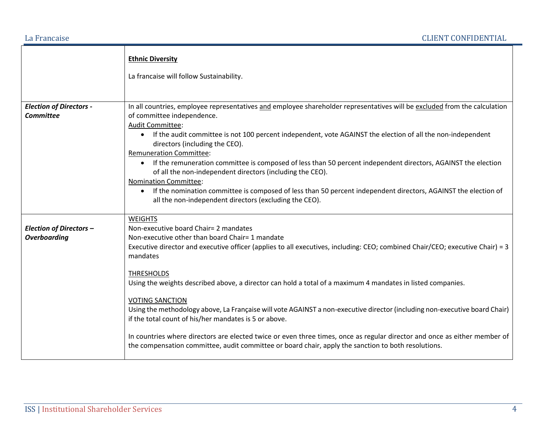|                                                       | <b>Ethnic Diversity</b><br>La francaise will follow Sustainability.                                                                                                                                                                                                                                                                                                                                                                                                                                                                                                                                                                                                                                                                                                                                                                              |
|-------------------------------------------------------|--------------------------------------------------------------------------------------------------------------------------------------------------------------------------------------------------------------------------------------------------------------------------------------------------------------------------------------------------------------------------------------------------------------------------------------------------------------------------------------------------------------------------------------------------------------------------------------------------------------------------------------------------------------------------------------------------------------------------------------------------------------------------------------------------------------------------------------------------|
| <b>Election of Directors -</b><br><b>Committee</b>    | In all countries, employee representatives and employee shareholder representatives will be excluded from the calculation<br>of committee independence.<br>Audit Committee:<br>If the audit committee is not 100 percent independent, vote AGAINST the election of all the non-independent<br>directors (including the CEO).<br><b>Remuneration Committee:</b><br>• If the remuneration committee is composed of less than 50 percent independent directors, AGAINST the election<br>of all the non-independent directors (including the CEO).<br><b>Nomination Committee:</b><br>If the nomination committee is composed of less than 50 percent independent directors, AGAINST the election of<br>$\bullet$<br>all the non-independent directors (excluding the CEO).                                                                          |
| <b>Election of Directors -</b><br><b>Overboarding</b> | <b>WEIGHTS</b><br>Non-executive board Chair= 2 mandates<br>Non-executive other than board Chair= 1 mandate<br>Executive director and executive officer (applies to all executives, including: CEO; combined Chair/CEO; executive Chair) = 3<br>mandates<br><b>THRESHOLDS</b><br>Using the weights described above, a director can hold a total of a maximum 4 mandates in listed companies.<br><b>VOTING SANCTION</b><br>Using the methodology above, La Française will vote AGAINST a non-executive director (including non-executive board Chair)<br>if the total count of his/her mandates is 5 or above.<br>In countries where directors are elected twice or even three times, once as regular director and once as either member of<br>the compensation committee, audit committee or board chair, apply the sanction to both resolutions. |